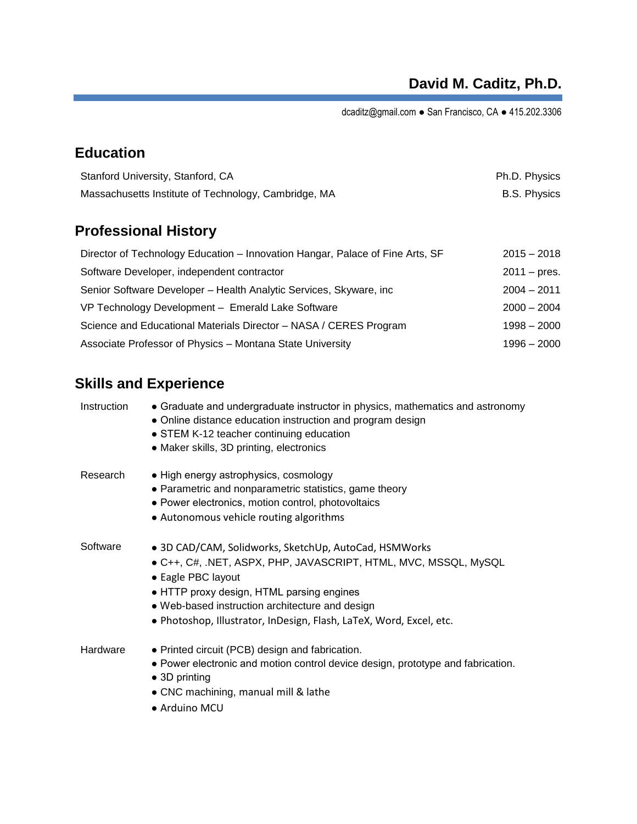dcaditz@gmail.com ● San Francisco, CA ● 415.202.3306

# **Education**

| Stanford University, Stanford, CA                    | Ph.D. Physics       |
|------------------------------------------------------|---------------------|
| Massachusetts Institute of Technology, Cambridge, MA | <b>B.S. Physics</b> |

## **Professional History**

| Director of Technology Education – Innovation Hangar, Palace of Fine Arts, SF | $2015 - 2018$         |
|-------------------------------------------------------------------------------|-----------------------|
| Software Developer, independent contractor                                    | $2011 - \text{pres.}$ |
| Senior Software Developer - Health Analytic Services, Skyware, inc            | $2004 - 2011$         |
| VP Technology Development - Emerald Lake Software                             | $2000 - 2004$         |
| Science and Educational Materials Director - NASA / CERES Program             | $1998 - 2000$         |
| Associate Professor of Physics - Montana State University                     | $1996 - 2000$         |

# **Skills and Experience**

| Instruction | • Graduate and undergraduate instructor in physics, mathematics and astronomy<br>• Online distance education instruction and program design<br>• STEM K-12 teacher continuing education<br>• Maker skills, 3D printing, electronics                                                                                   |
|-------------|-----------------------------------------------------------------------------------------------------------------------------------------------------------------------------------------------------------------------------------------------------------------------------------------------------------------------|
| Research    | • High energy astrophysics, cosmology<br>• Parametric and nonparametric statistics, game theory<br>• Power electronics, motion control, photovoltaics<br>• Autonomous vehicle routing algorithms                                                                                                                      |
| Software    | · 3D CAD/CAM, Solidworks, SketchUp, AutoCad, HSMWorks<br>• C++, C#, .NET, ASPX, PHP, JAVASCRIPT, HTML, MVC, MSSQL, MySQL<br>• Eagle PBC layout<br>• HTTP proxy design, HTML parsing engines<br>• Web-based instruction architecture and design<br>· Photoshop, Illustrator, InDesign, Flash, LaTeX, Word, Excel, etc. |
| Hardware    | • Printed circuit (PCB) design and fabrication.<br>• Power electronic and motion control device design, prototype and fabrication.<br>$\bullet$ 3D printing<br>• CNC machining, manual mill & lathe<br>• Arduino MCU                                                                                                  |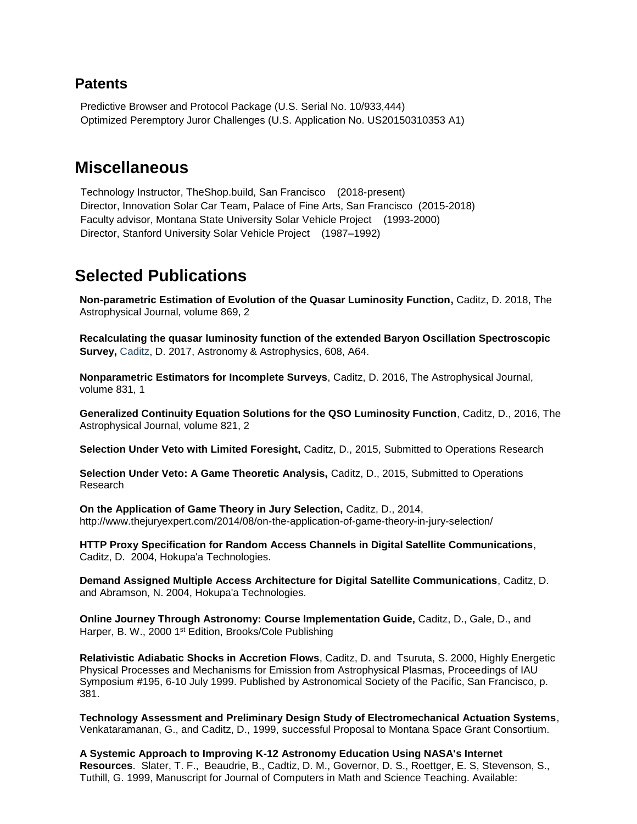#### **Patents**

Predictive Browser and Protocol Package (U.S. Serial No. 10/933,444) Optimized Peremptory Juror Challenges (U.S. Application No. US20150310353 A1)

### **Miscellaneous**

Technology Instructor, TheShop.build, San Francisco (2018-present) Director, Innovation Solar Car Team, Palace of Fine Arts, San Francisco (2015-2018) Faculty advisor, Montana State University Solar Vehicle Project (1993-2000) Director, Stanford University Solar Vehicle Project (1987–1992)

### **Selected Publications**

**Non-parametric Estimation of Evolution of the Quasar Luminosity Function,** Caditz, D. 2018, The Astrophysical Journal, volume 869, 2

**[Recalculating the quasar luminosity function of the extended Baryon Oscillation Spectroscopic](https://www.aanda.org/articles/aa/pdf/forth/aa31850-17.pdf)  [Survey,](https://www.aanda.org/articles/aa/pdf/forth/aa31850-17.pdf)** Caditz, D. 2017, Astronomy & Astrophysics, 608, A64.

**Nonparametric Estimators for Incomplete Surveys**, Caditz, D. 2016, The Astrophysical Journal, volume 831, 1

**Generalized Continuity Equation Solutions for the QSO Luminosity Function**, Caditz, D., 2016, The Astrophysical Journal, volume 821, 2

**Selection Under Veto with Limited Foresight,** Caditz, D., 2015, Submitted to Operations Research

**Selection Under Veto: A Game Theoretic Analysis,** Caditz, D., 2015, Submitted to Operations Research

**On the Application of Game Theory in Jury Selection,** Caditz, D., 2014, http://www.thejuryexpert.com/2014/08/on-the-application-of-game-theory-in-jury-selection/

**HTTP Proxy Specification for Random Access Channels in Digital Satellite Communications**, Caditz, D. 2004, Hokupa'a Technologies.

**Demand Assigned Multiple Access Architecture for Digital Satellite Communications**, Caditz, D. and Abramson, N. 2004, Hokupa'a Technologies.

**Online Journey Through Astronomy: Course Implementation Guide,** Caditz, D., Gale, D., and Harper, B. W., 2000 1<sup>st</sup> Edition, Brooks/Cole Publishing

**Relativistic Adiabatic Shocks in Accretion Flows**, Caditz, D. and Tsuruta, S. 2000, Highly Energetic Physical Processes and Mechanisms for Emission from Astrophysical Plasmas, Proceedings of IAU Symposium #195, 6-10 July 1999. Published by Astronomical Society of the Pacific, San Francisco, p. 381.

**Technology Assessment and Preliminary Design Study of Electromechanical Actuation Systems**, Venkataramanan, G., and Caditz, D., 1999, successful Proposal to Montana Space Grant Consortium.

**A Systemic Approach to Improving K-12 Astronomy Education Using NASA's Internet Resources**. Slater, T. F., Beaudrie, B., Cadtiz, D. M., Governor, D. S., Roettger, E. S, Stevenson, S., Tuthill, G. 1999, Manuscript for Journal of Computers in Math and Science Teaching. Available: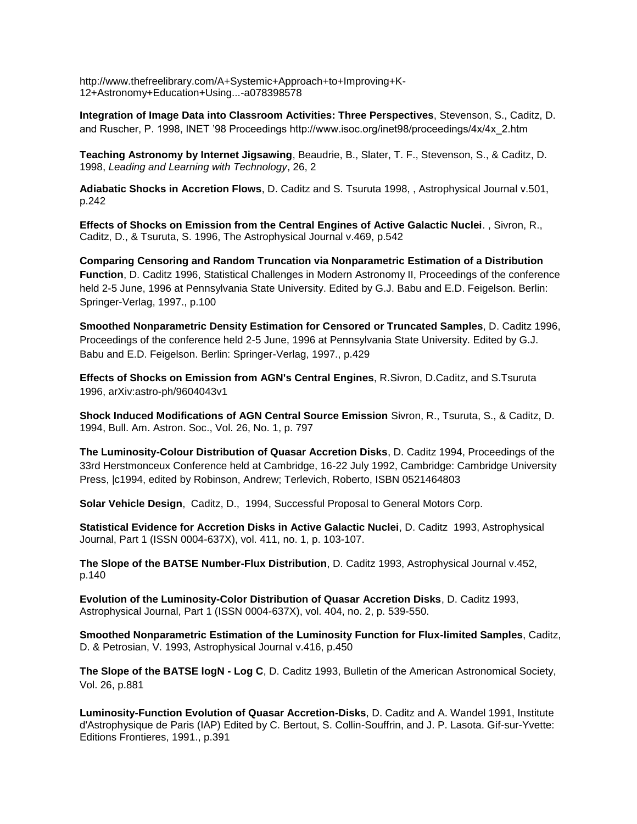http://www.thefreelibrary.com/A+Systemic+Approach+to+Improving+K-12+Astronomy+Education+Using...-a078398578

**Integration of Image Data into Classroom Activities: Three Perspectives**, Stevenson, S., Caditz, D. and Ruscher, P. 1998, INET '98 Proceedings http://www.isoc.org/inet98/proceedings/4x/4x\_2.htm

**Teaching Astronomy by Internet Jigsawing**, Beaudrie, B., Slater, T. F., Stevenson, S., & Caditz, D. 1998, *Leading and Learning with Technology*, 26, 2

**Adiabatic Shocks in Accretion Flows**, D. Caditz and S. Tsuruta 1998, , Astrophysical Journal v.501, p.242

**Effects of Shocks on Emission from the Central Engines of Active Galactic Nuclei**. , Sivron, R., Caditz, D., & Tsuruta, S. 1996, The Astrophysical Journal v.469, p.542

**Comparing Censoring and Random Truncation via Nonparametric Estimation of a Distribution Function**, D. Caditz 1996, Statistical Challenges in Modern Astronomy II, Proceedings of the conference held 2-5 June, 1996 at Pennsylvania State University. Edited by G.J. Babu and E.D. Feigelson. Berlin: Springer-Verlag, 1997., p.100

**Smoothed Nonparametric Density Estimation for Censored or Truncated Samples**, D. Caditz 1996, Proceedings of the conference held 2-5 June, 1996 at Pennsylvania State University. Edited by G.J. Babu and E.D. Feigelson. Berlin: Springer-Verlag, 1997., p.429

**Effects of Shocks on Emission from AGN's Central Engines**, [R.Sivron,](http://arxiv.org/find/astro-ph/1/au:+Sivron_R/0/1/0/all/0/1) [D.Caditz,](http://arxiv.org/find/astro-ph/1/au:+Caditz_D/0/1/0/all/0/1) and [S.Tsuruta](http://arxiv.org/find/astro-ph/1/au:+Tsuruta_S/0/1/0/all/0/1)  1996, arXiv:astro-ph/9604043v1

**Shock Induced Modifications of AGN Central Source Emission** Sivron, R., Tsuruta, S., & Caditz, D. 1994, Bull. Am. Astron. Soc., Vol. 26, No. 1, p. 797

**The Luminosity-Colour Distribution of Quasar Accretion Disks**, D. Caditz 1994, Proceedings of the 33rd Herstmonceux Conference held at Cambridge, 16-22 July 1992, Cambridge: Cambridge University Press, |c1994, edited by Robinson, Andrew; Terlevich, Roberto, ISBN 0521464803

**Solar Vehicle Design**, Caditz, D., 1994, Successful Proposal to General Motors Corp.

**Statistical Evidence for Accretion Disks in Active Galactic Nuclei**, D. Caditz 1993, Astrophysical Journal, Part 1 (ISSN 0004-637X), vol. 411, no. 1, p. 103-107.

**The Slope of the BATSE Number-Flux Distribution**, D. Caditz 1993, Astrophysical Journal v.452, p.140

**Evolution of the Luminosity-Color Distribution of Quasar Accretion Disks**, D. Caditz 1993, Astrophysical Journal, Part 1 (ISSN 0004-637X), vol. 404, no. 2, p. 539-550.

**Smoothed Nonparametric Estimation of the Luminosity Function for Flux-limited Samples**, Caditz, D. & Petrosian, V. 1993, Astrophysical Journal v.416, p.450

**The Slope of the BATSE logN - Log C**, D. Caditz 1993, Bulletin of the American Astronomical Society, Vol. 26, p.881

**Luminosity-Function Evolution of Quasar Accretion-Disks**, D. Caditz and A. Wandel 1991, Institute d'Astrophysique de Paris (IAP) Edited by C. Bertout, S. Collin-Souffrin, and J. P. Lasota. Gif-sur-Yvette: Editions Frontieres, 1991., p.391